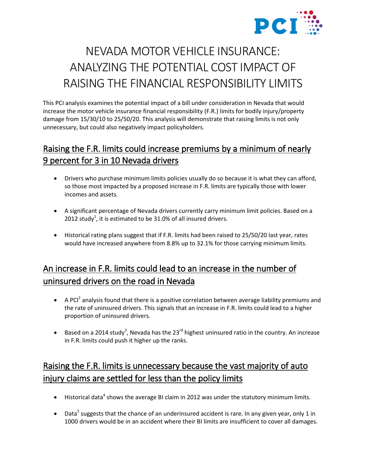

# NEVADA MOTOR VEHICLE INSURANCE: ANALYZING THE POTENTIAL COST IMPACT OF RAISING THE FINANCIAL RESPONSIBILITY LIMITS

This PCI analysis examines the potential impact of a bill under consideration in Nevada that would increase the motor vehicle insurance financial responsibility (F.R.) limits for bodily injury/property damage from 15/30/10 to 25/50/20. This analysis will demonstrate that raising limits is not only unnecessary, but could also negatively impact policyholders.

#### Raising the F.R. limits could increase premiums by a minimum of nearly 9 percent for 3 in 10 Nevada drivers

- Drivers who purchase minimum limits policies usually do so because it is what they can afford, so those most impacted by a proposed increase in F.R. limits are typically those with lower incomes and assets.
- A significant percentage of Nevada drivers currently carry minimum limit policies. Based on a 2012 study<sup>1</sup>, it is estimated to be 31.0% of all insured drivers.
- Historical rating plans suggest that if F.R. limits had been raised to 25/50/20 last year, rates would have increased anywhere from 8.8% up to 32.1% for those carrying minimum limits.

# An increase in F.R. limits could lead to an increase in the number of uninsured drivers on the road in Nevada

- $\bullet$  A PCI<sup>2</sup> analysis found that there is a positive correlation between average liability premiums and the rate of uninsured drivers. This signals that an increase in F.R. limits could lead to a higher proportion of uninsured drivers.
- Based on a 2014 study<sup>3</sup>, Nevada has the 23<sup>rd</sup> highest uninsured ratio in the country. An increase in F.R. limits could push it higher up the ranks.

### Raising the F.R. limits is unnecessary because the vast majority of auto injury claims are settled for less than the policy limits

- $\bullet$  Historical data<sup>4</sup> shows the average BI claim in 2012 was under the statutory minimum limits.
- Data<sup>5</sup> suggests that the chance of an underinsured accident is rare. In any given year, only 1 in 1000 drivers would be in an accident where their BI limits are insufficient to cover all damages.